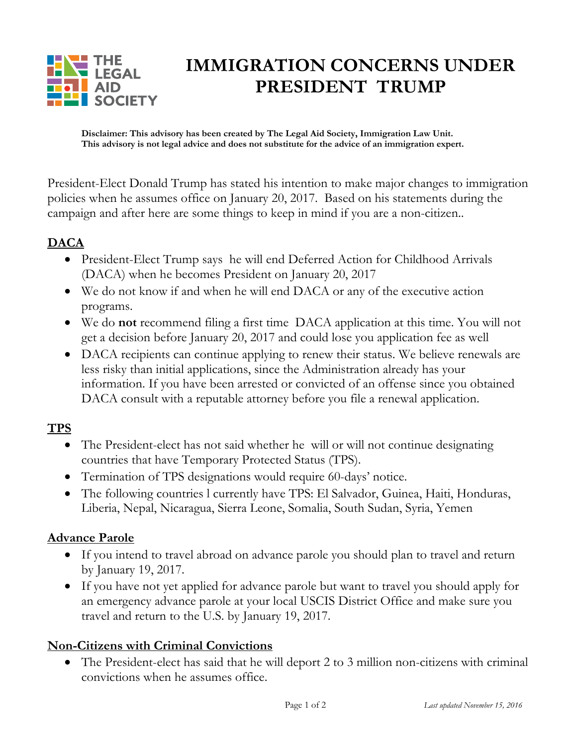

# **IMMIGRATION CONCERNS UNDER PRESIDENT TRUMP**

**Disclaimer: This advisory has been created by The Legal Aid Society, Immigration Law Unit. This advisory is not legal advice and does not substitute for the advice of an immigration expert.** 

President-Elect Donald Trump has stated his intention to make major changes to immigration policies when he assumes office on January 20, 2017. Based on his statements during the campaign and after here are some things to keep in mind if you are a non-citizen..

## **DACA**

- President-Elect Trump says he will end Deferred Action for Childhood Arrivals (DACA) when he becomes President on January 20, 2017
- We do not know if and when he will end DACA or any of the executive action programs.
- We do **not** recommend filing a first time DACA application at this time. You will not get a decision before January 20, 2017 and could lose you application fee as well
- DACA recipients can continue applying to renew their status. We believe renewals are less risky than initial applications, since the Administration already has your information. If you have been arrested or convicted of an offense since you obtained DACA consult with a reputable attorney before you file a renewal application.

### **TPS**

- The President-elect has not said whether he will or will not continue designating countries that have Temporary Protected Status (TPS).
- Termination of TPS designations would require 60-days' notice.
- The following countries l currently have TPS: El Salvador, Guinea, Haiti, Honduras, Liberia, Nepal, Nicaragua, Sierra Leone, Somalia, South Sudan, Syria, Yemen

### **Advance Parole**

- If you intend to travel abroad on advance parole you should plan to travel and return by January 19, 2017.
- If you have not yet applied for advance parole but want to travel you should apply for an emergency advance parole at your local USCIS District Office and make sure you travel and return to the U.S. by January 19, 2017.

### **Non-Citizens with Criminal Convictions**

 The President-elect has said that he will deport 2 to 3 million non-citizens with criminal convictions when he assumes office.